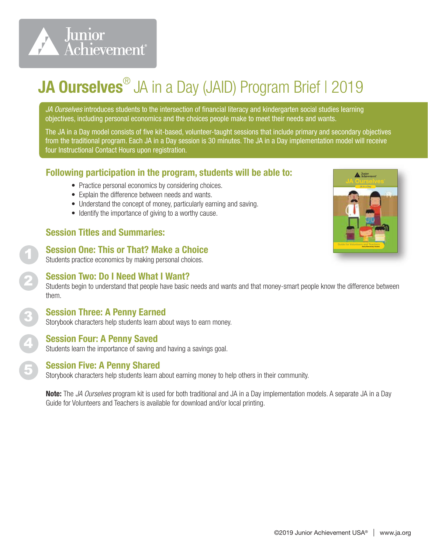

## JA Ourselves<sup>®</sup> JA in a Day (JAID) Program Brief I 2019

*JA Ourselves* introduces students to the intersection of financial literacy and kindergarten social studies learning objectives, including personal economics and the choices people make to meet their needs and wants.

The JA in a Day model consists of five kit-based, volunteer-taught sessions that include primary and secondary objectives from the traditional program. Each JA in a Day session is 30 minutes. The JA in a Day implementation model will receive four Instructional Contact Hours upon registration.

#### Following participation in the program, students will be able to:

- ® Practice personal economics by considering choices.
- Explain the difference between needs and wants.
- Understand the concept of money, particularly earning and saving.
- Identify the importance of giving to a worthy cause.

#### Session Titles and Summaries:

1

2

3

4

5

#### Session One: This or That? Make a Choice

Students practice economics by making personal choices.

#### Session Two: Do I Need What I Want?

Students begin to understand that people have basic needs and wants and that money-smart people know the difference between them.

### Session Three: A Penny Earned

Storybook characters help students learn about ways to earn money.

#### Session Four: A Penny Saved

Students learn the importance of saving and having a savings goal.

#### Session Five: A Penny Shared

Storybook characters help students learn about earning money to help others in their community.

Note: The *JA Ourselves* program kit is used for both traditional and JA in a Day implementation models. A separate JA in a Day Guide for Volunteers and Teachers is available for download and/or local printing.